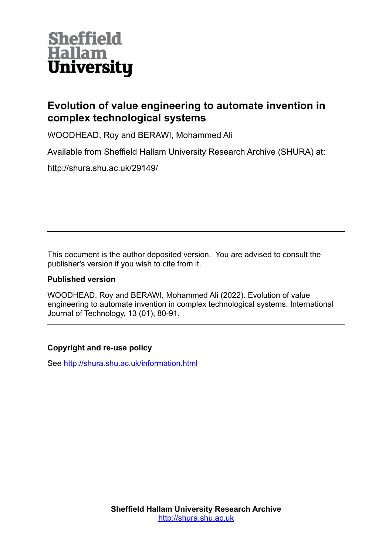

# **Evolution of value engineering to automate invention in complex technological systems**

WOODHEAD, Roy and BERAWI, Mohammed Ali

Available from Sheffield Hallam University Research Archive (SHURA) at:

http://shura.shu.ac.uk/29149/

This document is the author deposited version. You are advised to consult the publisher's version if you wish to cite from it.

# **Published version**

WOODHEAD, Roy and BERAWI, Mohammed Ali (2022). Evolution of value engineering to automate invention in complex technological systems. International Journal of Technology, 13 (01), 80-91.

# **Copyright and re-use policy**

See<http://shura.shu.ac.uk/information.html>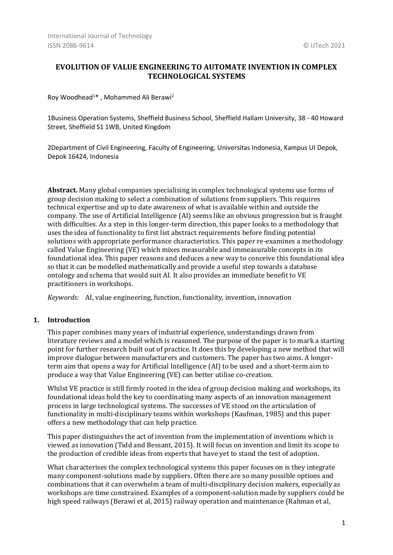# **EVOLUTION OF VALUE ENGINEERING TO AUTOMATE INVENTION IN COMPLEX TECHNOLOGICAL SYSTEMS**

Roy Woodhead<sup>1</sup>\* , Mohammed Ali Berawi<sup>2</sup>

1Business Operation Systems, Sheffield Business School, Sheffield Hallam University, 38 - 40 Howard Street, Sheffield S1 1WB, United Kingdom

2Department of Civil Engineering, Faculty of Engineering, Universitas Indonesia, Kampus UI Depok, Depok 16424, Indonesia

**Abstract.** Many global companies specialising in complex technological systems use forms of group decision making to select a combination of solutions from suppliers. This requires technical expertise and up to date awareness of what is available within and outside the company. The use of Artificial Intelligence (AI) seems like an obvious progression but is fraught with difficulties. As a step in this longer-term direction, this paper looks to a methodology that uses the idea of functionality to first list abstract requirements before finding potential solutions with appropriate performance characteristics. This paper re-examines a methodology called Value Engineering (VE) which mixes measurable and immeasurable concepts in its foundational idea. This paper reasons and deduces a new way to conceive this foundational idea so that it can be modelled mathematically and provide a useful step towards a database ontology and schema that would suit AI. It also provides an immediate benefit to VE practitioners in workshops.

*Keywords:* AI, value engineering, function, functionality, invention, innovation

## **1. Introduction**

This paper combines many years of industrial experience, understandings drawn from literature reviews and a model which is reasoned. The purpose of the paper is to mark a starting point for further research built out of practice. It does this by developing a new method that will improve dialogue between manufacturers and customers. The paper has two aims. A longerterm aim that opens a way for Artificial Intelligence (AI) to be used and a short-term aim to produce a way that Value Engineering (VE) can better utilise co-creation.

Whilst VE practice is still firmly rooted in the idea of group decision making and workshops, its foundational ideas hold the key to coordinating many aspects of an innovation management process in large technological systems. The successes of VE stood on the articulation of functionality in multi-disciplinary teams within workshops (Kaufman, 1985) and this paper offers a new methodology that can help practice.

This paper distinguishes the act of invention from the implementation of inventions which is viewed as innovation (Tidd and Bessant, 2015). It will focus on invention and limit its scope to the production of credible ideas from experts that have yet to stand the test of adoption.

What characterises the complex technological systems this paper focuses on is they integrate many component-solutions made by suppliers. Often there are so many possible options and combinations that it can overwhelm a team of multi-disciplinary decision makers, especially as workshops are time constrained. Examples of a component-solution made by suppliers could be high speed railways (Berawi et al, 2015) railway operation and maintenance (Rahman et al,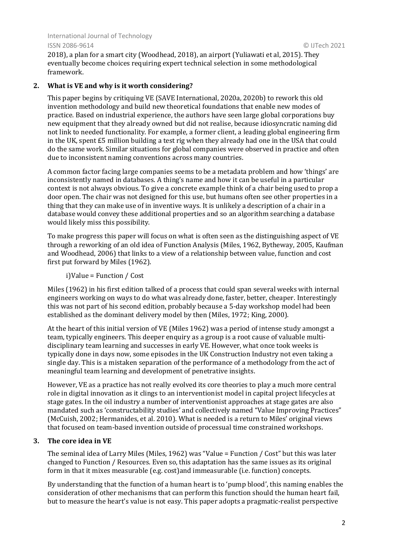2018), a plan for a smart city (Woodhead, 2018), an airport (Yuliawati et al, 2015). They eventually become choices requiring expert technical selection in some methodological framework.

## **2. What is VE and why is it worth considering?**

This paper begins by critiquing VE (SAVE International, 2020a, 2020b) to rework this old invention methodology and build new theoretical foundations that enable new modes of practice. Based on industrial experience, the authors have seen large global corporations buy new equipment that they already owned but did not realise, because idiosyncratic naming did not link to needed functionality. For example, a former client, a leading global engineering firm in the UK, spent £5 million building a test rig when they already had one in the USA that could do the same work. Similar situations for global companies were observed in practice and often due to inconsistent naming conventions across many countries.

A common factor facing large companies seems to be a metadata problem and how 'things' are inconsistently named in databases. A thing's name and how it can be useful in a particular context is not always obvious. To give a concrete example think of a chair being used to prop a door open. The chair was not designed for this use, but humans often see other properties in a thing that they can make use of in inventive ways. It is unlikely a description of a chair in a database would convey these additional properties and so an algorithm searching a database would likely miss this possibility.

To make progress this paper will focus on what is often seen as the distinguishing aspect of VE through a reworking of an old idea of Function Analysis (Miles, 1962, Bytheway, 2005, Kaufman and Woodhead, 2006) that links to a view of a relationship between value, function and cost first put forward by Miles (1962).

i)Value = Function / Cost

Miles (1962) in his first edition talked of a process that could span several weeks with internal engineers working on ways to do what was already done, faster, better, cheaper. Interestingly this was not part of his second edition, probably because a 5-day workshop model had been established as the dominant delivery model by then (Miles, 1972; King, 2000).

At the heart of this initial version of VE (Miles 1962) was a period of intense study amongst a team, typically engineers. This deeper enquiry as a group is a root cause of valuable multidisciplinary team learning and successes in early VE. However, what once took weeks is typically done in days now, some episodes in the UK Construction Industry not even taking a single day. This is a mistaken separation of the performance of a methodology from the act of meaningful team learning and development of penetrative insights.

However, VE as a practice has not really evolved its core theories to play a much more central role in digital innovation as it clings to an interventionist model in capital project lifecycles at stage gates. In the oil industry a number of interventionist approaches at stage gates are also mandated such as 'constructability studies' and collectively named "Value Improving Practices" (McCuish, 2002; Hermanides, et al. 2010). What is needed is a return to Miles' original views that focused on team-based invention outside of processual time constrained workshops.

## **3. The core idea in VE**

The seminal idea of Larry Miles (Miles, 1962) was "Value = Function / Cost" but this was later changed to Function / Resources. Even so, this adaptation has the same issues as its original form in that it mixes measurable (e.g. cost)and immeasurable (i.e. function) concepts.

By understanding that the function of a human heart is to 'pump blood', this naming enables the consideration of other mechanisms that can perform this function should the human heart fail, but to measure the heart's value is not easy. This paper adopts a pragmatic-realist perspective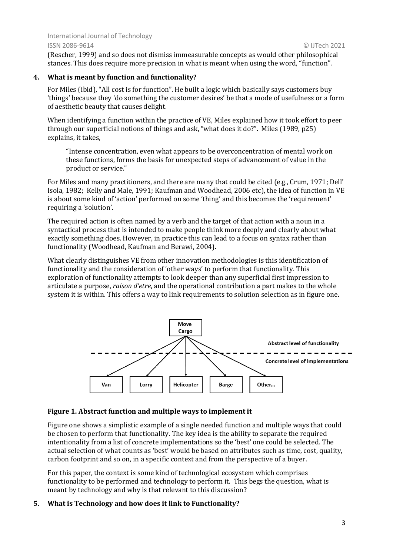(Rescher, 1999) and so does not dismiss immeasurable concepts as would other philosophical stances. This does require more precision in what is meant when using the word, "function".

## **4. What is meant by function and functionality?**

For Miles (ibid), "All cost is for function". He built a logic which basically says customers buy 'things' because they 'do something the customer desires' be that a mode of usefulness or a form of aesthetic beauty that causes delight.

When identifying a function within the practice of VE, Miles explained how it took effort to peer through our superficial notions of things and ask, "what does it do?". Miles (1989, p25) explains, it takes,

"Intense concentration, even what appears to be overconcentration of mental work on these functions, forms the basis for unexpected steps of advancement of value in the product or service."

For Miles and many practitioners, and there are many that could be cited (e.g., Crum, 1971; Dell' Isola, 1982; Kelly and Male, 1991; Kaufman and Woodhead, 2006 etc), the idea of function in VE is about some kind of 'action' performed on some 'thing' and this becomes the 'requirement' requiring a 'solution'.

The required action is often named by a verb and the target of that action with a noun in a syntactical process that is intended to make people think more deeply and clearly about what exactly something does. However, in practice this can lead to a focus on syntax rather than functionality (Woodhead, Kaufman and Berawi, 2004).

What clearly distinguishes VE from other innovation methodologies is this identification of functionality and the consideration of 'other ways' to perform that functionality. This exploration of functionality attempts to look deeper than any superficial first impression to articulate a purpose, *raison d'etre*, and the operational contribution a part makes to the whole system it is within. This offers a way to link requirements to solution selection as in figure one.



## **Figure 1. Abstract function and multiple ways to implement it**

Figure one shows a simplistic example of a single needed function and multiple ways that could be chosen to perform that functionality. The key idea is the ability to separate the required intentionality from a list of concrete implementations so the 'best' one could be selected. The actual selection of what counts as 'best' would be based on attributes such as time, cost, quality, carbon footprint and so on, in a specific context and from the perspective of a buyer.

For this paper, the context is some kind of technological ecosystem which comprises functionality to be performed and technology to perform it. This begs the question, what is meant by technology and why is that relevant to this discussion?

# **5. What is Technology and how does it link to Functionality?**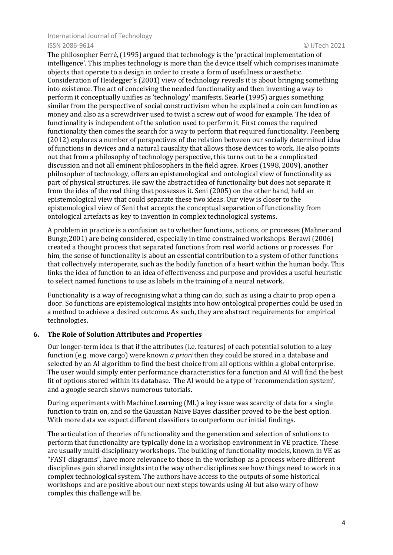The philosopher Ferré, (1995) argued that technology is the 'practical implementation of intelligence'. This implies technology is more than the device itself which comprises inanimate objects that operate to a design in order to create a form of usefulness or aesthetic. Consideration of Heidegger's (2001) view of technology reveals it is about bringing something into existence. The act of conceiving the needed functionality and then inventing a way to perform it conceptually unifies as 'technology' manifests. Searle (1995) argues something similar from the perspective of social constructivism when he explained a coin can function as money and also as a screwdriver used to twist a screw out of wood for example. The idea of functionality is independent of the solution used to perform it. First comes the required functionality then comes the search for a way to perform that required functionality. Feenberg (2012) explores a number of perspectives of the relation between our socially determined idea of functions in devices and a natural causality that allows those devices to work. He also points out that from a philosophy of technology perspective, this turns out to be a complicated discussion and not all eminent philosophers in the field agree. Kroes (1998, 2009), another philosopher of technology, offers an epistemological and ontological view of functionality as part of physical structures. He saw the abstract idea of functionality but does not separate it from the idea of the real thing that possesses it. Seni (2005) on the other hand, held an epistemological view that could separate these two ideas. Our view is closer to the epistemological view of Seni that accepts the conceptual separation of functionality from ontological artefacts as key to invention in complex technological systems.

A problem in practice is a confusion as to whether functions, actions, or processes (Mahner and Bunge,2001) are being considered, especially in time constrained workshops. Berawi (2006) created a thought process that separated functions from real world actions or processes. For him, the sense of functionality is about an essential contribution to a system of other functions that collectively interoperate, such as the bodily function of a heart within the human body. This links the idea of function to an idea of effectiveness and purpose and provides a useful heuristic to select named functions to use as labels in the training of a neural network.

Functionality is a way of recognising what a thing can do, such as using a chair to prop open a door. So functions are epistemological insights into how ontological properties could be used in a method to achieve a desired outcome. As such, they are abstract requirements for empirical technologies.

## **6. The Role of Solution Attributes and Properties**

Our longer-term idea is that if the attributes (i.e. features) of each potential solution to a key function (e.g. move cargo) were known *a priori* then they could be stored in a database and selected by an AI algorithm to find the best choice from all options within a global enterprise. The user would simply enter performance characteristics for a function and AI will find the best fit of options stored within its database. The AI would be a type of 'recommendation system', and a google search shows numerous tutorials.

During experiments with Machine Learning (ML) a key issue was scarcity of data for a single function to train on, and so the Gaussian Naive Bayes classifier proved to be the best option. With more data we expect different classifiers to outperform our initial findings.

The articulation of theories of functionality and the generation and selection of solutions to perform that functionality are typically done in a workshop environment in VE practice. These are usually multi-disciplinary workshops. The building of functionality models, known in VE as "FAST diagrams", have more relevance to those in the workshop as a process where different disciplines gain shared insights into the way other disciplines see how things need to work in a complex technological system. The authors have access to the outputs of some historical workshops and are positive about our next steps towards using AI but also wary of how complex this challenge will be.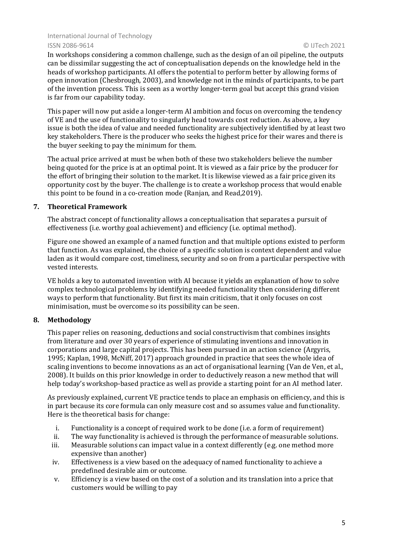In workshops considering a common challenge, such as the design of an oil pipeline, the outputs can be dissimilar suggesting the act of conceptualisation depends on the knowledge held in the heads of workshop participants. AI offers the potential to perform better by allowing forms of open innovation (Chesbrough, 2003), and knowledge not in the minds of participants, to be part of the invention process. This is seen as a worthy longer-term goal but accept this grand vision is far from our capability today.

This paper will now put aside a longer-term AI ambition and focus on overcoming the tendency of VE and the use of functionality to singularly head towards cost reduction. As above, a key issue is both the idea of value and needed functionality are subjectively identified by at least two key stakeholders. There is the producer who seeks the highest price for their wares and there is the buyer seeking to pay the minimum for them.

The actual price arrived at must be when both of these two stakeholders believe the number being quoted for the price is at an optimal point. It is viewed as a fair price by the producer for the effort of bringing their solution to the market. It is likewise viewed as a fair price given its opportunity cost by the buyer. The challenge is to create a workshop process that would enable this point to be found in a co-creation mode (Ranjan, and Read,2019).

## **7. Theoretical Framework**

The abstract concept of functionality allows a conceptualisation that separates a pursuit of effectiveness (i.e. worthy goal achievement) and efficiency (i.e. optimal method).

Figure one showed an example of a named function and that multiple options existed to perform that function. As was explained, the choice of a specific solution is context dependent and value laden as it would compare cost, timeliness, security and so on from a particular perspective with vested interests.

VE holds a key to automated invention with AI because it yields an explanation of how to solve complex technological problems by identifying needed functionality then considering different ways to perform that functionality. But first its main criticism, that it only focuses on cost minimisation, must be overcome so its possibility can be seen.

# **8. Methodology**

This paper relies on reasoning, deductions and social constructivism that combines insights from literature and over 30 years of experience of stimulating inventions and innovation in corporations and large capital projects. This has been pursued in an action science (Argyris, 1995; Kaplan, 1998, McNiff, 2017) approach grounded in practice that sees the whole idea of scaling inventions to become innovations as an act of organisational learning (Van de Ven, et al., 2008). It builds on this prior knowledge in order to deductively reason a new method that will help today's workshop-based practice as well as provide a starting point for an AI method later.

As previously explained, current VE practice tends to place an emphasis on efficiency, and this is in part because its core formula can only measure cost and so assumes value and functionality. Here is the theoretical basis for change:

- i. Functionality is a concept of required work to be done (i.e. a form of requirement)
- ii. The way functionality is achieved is through the performance of measurable solutions.
- iii. Measurable solutions can impact value in a context differently (e.g. one method more expensive than another)
- iv. Effectiveness is a view based on the adequacy of named functionality to achieve a predefined desirable aim or outcome.
- v. Efficiency is a view based on the cost of a solution and its translation into a price that customers would be willing to pay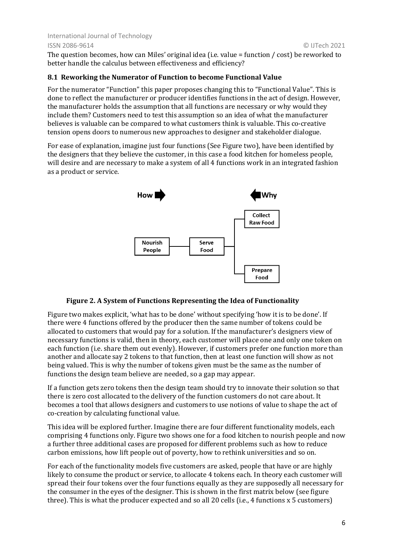The question becomes, how can Miles' original idea (i.e. value = function / cost) be reworked to better handle the calculus between effectiveness and efficiency?

## **8.1 Reworking the Numerator of Function to become Functional Value**

For the numerator "Function" this paper proposes changing this to "Functional Value". This is done to reflect the manufacturer or producer identifies functions in the act of design. However, the manufacturer holds the assumption that all functions are necessary or why would they include them? Customers need to test this assumption so an idea of what the manufacturer believes is valuable can be compared to what customers think is valuable. This co-creative tension opens doors to numerous new approaches to designer and stakeholder dialogue.

For ease of explanation, imagine just four functions (See Figure two), have been identified by the designers that they believe the customer, in this case a food kitchen for homeless people, will desire and are necessary to make a system of all 4 functions work in an integrated fashion as a product or service.



#### **Figure 2. A System of Functions Representing the Idea of Functionality**

Figure two makes explicit, 'what has to be done' without specifying 'how it is to be done'. If there were 4 functions offered by the producer then the same number of tokens could be allocated to customers that would pay for a solution. If the manufacturer's designers view of necessary functions is valid, then in theory, each customer will place one and only one token on each function (i.e. share them out evenly). However, if customers prefer one function more than another and allocate say 2 tokens to that function, then at least one function will show as not being valued. This is why the number of tokens given must be the same as the number of functions the design team believe are needed, so a gap may appear.

If a function gets zero tokens then the design team should try to innovate their solution so that there is zero cost allocated to the delivery of the function customers do not care about. It becomes a tool that allows designers and customers to use notions of value to shape the act of co-creation by calculating functional value.

This idea will be explored further. Imagine there are four different functionality models, each comprising 4 functions only. Figure two shows one for a food kitchen to nourish people and now a further three additional cases are proposed for different problems such as how to reduce carbon emissions, how lift people out of poverty, how to rethink universities and so on.

For each of the functionality models five customers are asked, people that have or are highly likely to consume the product or service, to allocate 4 tokens each. In theory each customer will spread their four tokens over the four functions equally as they are supposedly all necessary for the consumer in the eyes of the designer. This is shown in the first matrix below (see figure three). This is what the producer expected and so all 20 cells (i.e., 4 functions x 5 customers)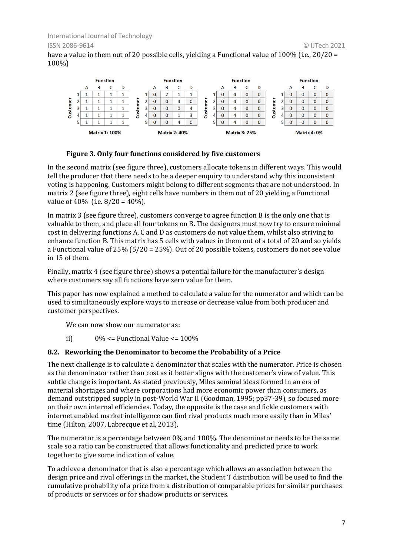have a value in them out of 20 possible cells, yielding a Functional value of 100% (i.e., 20/20 = 100%)



## **Figure 3. Only four functions considered by five customers**

In the second matrix (see figure three), customers allocate tokens in different ways. This would tell the producer that there needs to be a deeper enquiry to understand why this inconsistent voting is happening. Customers might belong to different segments that are not understood. In matrix 2 (see figure three), eight cells have numbers in them out of 20 yielding a Functional value of  $40\%$  (i.e.  $8/20 = 40\%$ ).

In matrix 3 (see figure three), customers converge to agree function B is the only one that is valuable to them, and place all four tokens on B. The designers must now try to ensure minimal cost in delivering functions A, C and D as customers do not value them, whilst also striving to enhance function B. This matrix has 5 cells with values in them out of a total of 20 and so yields a Functional value of 25% (5/20 = 25%). Out of 20 possible tokens, customers do not see value in 15 of them.

Finally, matrix 4 (see figure three) shows a potential failure for the manufacturer's design where customers say all functions have zero value for them.

This paper has now explained a method to calculate a value for the numerator and which can be used to simultaneously explore ways to increase or decrease value from both producer and customer perspectives.

We can now show our numerator as:

ii)  $0\% \leq$  Functional Value  $\leq$  100%

## **8.2. Reworking the Denominator to become the Probability of a Price**

The next challenge is to calculate a denominator that scales with the numerator. Price is chosen as the denominator rather than cost as it better aligns with the customer's view of value. This subtle change is important. As stated previously, Miles seminal ideas formed in an era of material shortages and where corporations had more economic power than consumers, as demand outstripped supply in post-World War II (Goodman, 1995; pp37-39), so focused more on their own internal efficiencies. Today, the opposite is the case and fickle customers with internet enabled market intelligence can find rival products much more easily than in Miles' time (Hilton, 2007, Labrecque et al. 2013).

The numerator is a percentage between 0% and 100%. The denominator needs to be the same scale so a ratio can be constructed that allows functionality and predicted price to work together to give some indication of value.

To achieve a denominator that is also a percentage which allows an association between the design price and rival offerings in the market, the Student T distribution will be used to find the cumulative probability of a price from a distribution of comparable prices for similar purchases of products or services or for shadow products or services.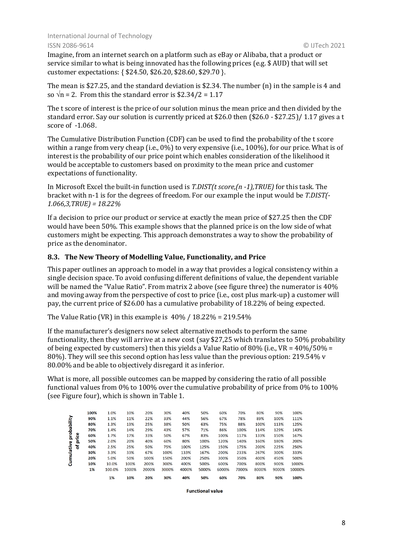Imagine, from an internet search on a platform such as eBay or Alibaba, that a product or service similar to what is being innovated has the following prices (e.g. \$ AUD) that will set customer expectations: { \$24.50, \$26.20, \$28.60, \$29.70 }.

The mean is \$27.25, and the standard deviation is \$2.34. The number (n) in the sample is 4 and so  $\sqrt{n}$  = 2. From this the standard error is \$2.34/2 = 1.17

The t score of interest is the price of our solution minus the mean price and then divided by the standard error. Say our solution is currently priced at \$26.0 then (\$26.0 - \$27.25)/ 1.17 gives a t score of -1.068.

The Cumulative Distribution Function (CDF) can be used to find the probability of the t score within a range from very cheap (i.e., 0%) to very expensive (i.e., 100%), for our price. What is of interest is the probability of our price point which enables consideration of the likelihood it would be acceptable to customers based on proximity to the mean price and customer expectations of functionality.

In Microsoft Excel the built-in function used is *T.DIST(t score,(n -1),TRUE)* for this task. The bracket with n-1 is for the degrees of freedom. For our example the input would be *T.DIST(- 1.066,3,TRUE) = 18.22%*

If a decision to price our product or service at exactly the mean price of \$27.25 then the CDF would have been 50%. This example shows that the planned price is on the low side of what customers might be expecting. This approach demonstrates a way to show the probability of price as the denominator.

## **8.3. The New Theory of Modelling Value, Functionality, and Price**

This paper outlines an approach to model in a way that provides a logical consistency within a single decision space. To avoid confusing different definitions of value, the dependent variable will be named the "Value Ratio". From matrix 2 above (see figure three) the numerator is 40% and moving away from the perspective of cost to price (i.e., cost plus mark-up) a customer will pay, the current price of \$26.00 has a cumulative probability of 18.22% of being expected.

The Value Ratio (VR) in this example is  $40\%$  /  $18.22\%$  = 219.54%

If the manufacturer's designers now select alternative methods to perform the same functionality, then they will arrive at a new cost (say \$27,25 which translates to 50% probability of being expected by customers) then this yields a Value Ratio of 80% (i.e., VR =  $40\%/50\%$  = 80%). They will see this second option has less value than the previous option: 219.54% v 80.00% and be able to objectively disregard it as inferior.

What is more, all possible outcomes can be mapped by considering the ratio of all possible functional values from 0% to 100% over the cumulative probability of price from 0% to 100% (see Figure four), which is shown in Table 1.

|             | 100% | 1.0%   | 10%   | 20%   | 30%   | 40%   | 50%   | 60%   | 70%   | 80%   | 90%   | 100%   |
|-------------|------|--------|-------|-------|-------|-------|-------|-------|-------|-------|-------|--------|
|             | 90%  | 1.1%   | 11%   | 22%   | 33%   | 44%   | 56%   | 67%   | 78%   | 89%   | 100%  | 111%   |
| probability | 80%  | 1.3%   | 13%   | 25%   | 38%   | 50%   | 63%   | 75%   | 88%   | 100%  | 113%  | 125%   |
|             | 70%  | 1.4%   | 14%   | 29%   | 43%   | 57%   | 71%   | 86%   | 100%  | 114%  | 129%  | 143%   |
|             | 60%  | 1.7%   | 17%   | 33%   | 50%   | 67%   | 83%   | 100%  | 117%  | 133%  | 150%  | 167%   |
| price       | 50%  | 2.0%   | 20%   | 40%   | 60%   | 80%   | 100%  | 120%  | 140%  | 160%  | 180%  | 200%   |
| ቴ           | 40%  | 2.5%   | 25%   | 50%   | 75%   | 100%  | 125%  | 150%  | 175%  | 200%  | 225%  | 250%   |
| Cumulative  | 30%  | 3.3%   | 33%   | 67%   | 100%  | 133%  | 167%  | 200%  | 233%  | 267%  | 300%  | 333%   |
|             | 20%  | 5.0%   | 50%   | 100%  | 150%  | 200%  | 250%  | 300%  | 350%  | 400%  | 450%  | 500%   |
|             | 10%  | 10.0%  | 100%  | 200%  | 300%  | 400%  | 500%  | 600%  | 700%  | 800%  | 900%  | 1000%  |
|             | 1%   | 100.0% | 1000% | 2000% | 3000% | 4000% | 5000% | 6000% | 7000% | 8000% | 9000% | 10000% |
|             |      | 1%     | 10%   | 20%   | 30%   | 40%   | 50%   | 60%   | 70%   | 80%   | 90%   | 100%   |

**Functional value**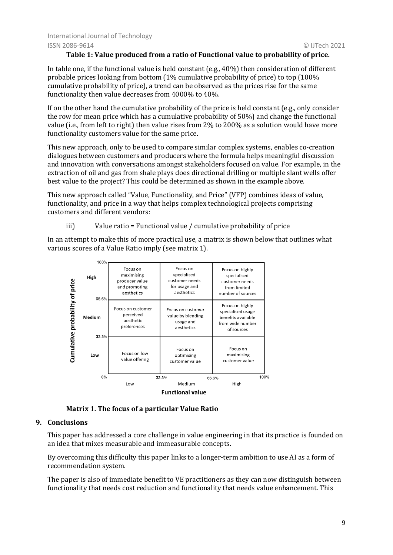## **Table 1: Value produced from a ratio of Functional value to probability of price.**

In table one, if the functional value is held constant (e.g., 40%) then consideration of different probable prices looking from bottom (1% cumulative probability of price) to top (100% cumulative probability of price), a trend can be observed as the prices rise for the same functionality then value decreases from 4000% to 40%.

If on the other hand the cumulative probability of the price is held constant (e.g., only consider the row for mean price which has a cumulative probability of 50%) and change the functional value (i.e., from left to right) then value rises from 2% to 200% as a solution would have more functionality customers value for the same price.

This new approach, only to be used to compare similar complex systems, enables co-creation dialogues between customers and producers where the formula helps meaningful discussion and innovation with conversations amongst stakeholders focused on value. For example, in the extraction of oil and gas from shale plays does directional drilling or multiple slant wells offer best value to the project? This could be determined as shown in the example above.

This new approach called "Value, Functionality, and Price" (VFP) combines ideas of value, functionality, and price in a way that helps complex technological projects comprising customers and different vendors:

iii) Value ratio = Functional value / cumulative probability of price

In an attempt to make this of more practical use, a matrix is shown below that outlines what various scores of a Value Ratio imply (see matrix 1).



**Matrix 1. The focus of a particular Value Ratio**

# **9. Conclusions**

This paper has addressed a core challenge in value engineering in that its practice is founded on an idea that mixes measurable and immeasurable concepts.

By overcoming this difficulty this paper links to a longer-term ambition to use AI as a form of recommendation system.

The paper is also of immediate benefit to VE practitioners as they can now distinguish between functionality that needs cost reduction and functionality that needs value enhancement. This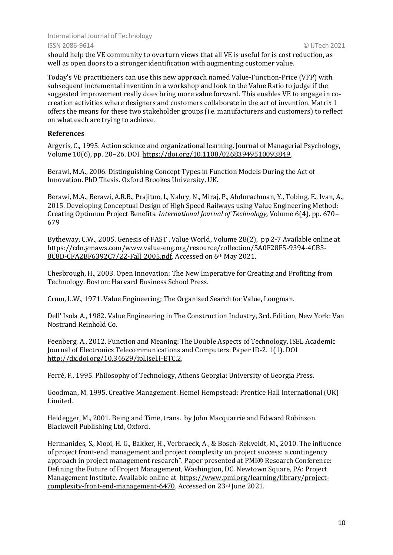should help the VE community to overturn views that all VE is useful for is cost reduction, as well as open doors to a stronger identification with augmenting customer value.

Today's VE practitioners can use this new approach named Value-Function-Price (VFP) with subsequent incremental invention in a workshop and look to the Value Ratio to judge if the suggested improvement really does bring more value forward. This enables VE to engage in cocreation activities where designers and customers collaborate in the act of invention. Matrix 1 offers the means for these two stakeholder groups (i.e. manufacturers and customers) to reflect on what each are trying to achieve.

## **References**

Argyris, C., 1995. Action science and organizational learning. Journal of Managerial Psychology, Volume 10(6), pp. 20–26. DOI. [https://doi.org/10.1108/02683949510093849.](https://doi.org/10.1108/02683949510093849)

Berawi, M.A., 2006. Distinguishing Concept Types in Function Models During the Act of Innovation. PhD Thesis. Oxford Brookes University, UK.

Berawi, M.A., Berawi, A.R.B., Prajitno, I., Nahry, N., Miraj, P., Abdurachman, Y., Tobing, E., Ivan, A., 2015. Developing Conceptual Design of High Speed Railways using Value Engineering Method: Creating Optimum Project Benefits. *International Journal of Technology,* Volume 6(4), pp. 670– 679

Bytheway, C.W., 2005. Genesis of FAST . Value World, Volume 28(2), pp.2-7 Available online at [https://cdn.ymaws.com/www.value-eng.org/resource/collection/5A0F28F5-9394-4CB5-](https://cdn.ymaws.com/www.value-eng.org/resource/collection/5A0F28F5-9394-4CB5-8C8D-CFA2BF6392C7/22-Fall_2005.pdf) [8C8D-CFA2BF6392C7/22-Fall\\_2005.pdf,](https://cdn.ymaws.com/www.value-eng.org/resource/collection/5A0F28F5-9394-4CB5-8C8D-CFA2BF6392C7/22-Fall_2005.pdf) Accessed on 6th May 2021.

Chesbrough, H., 2003. Open Innovation: The New Imperative for Creating and Profiting from Technology. Boston: Harvard Business School Press.

Crum, L.W., 1971. Value Engineering; The Organised Search for Value, Longman.

Dell' Isola A., 1982. Value Engineering in The Construction Industry, 3rd. Edition, New York: Van Nostrand Reinhold Co.

Feenberg, A., 2012. Function and Meaning: The Double Aspects of Technology. ISEL Academic Journal of Electronics Telecommunications and Computers. Paper ID-2. 1(1). DOI [http://dx.doi.org/10.34629/ipl.isel.i-ETC.2.](http://dx.doi.org/10.34629/ipl.isel.i-ETC.2)

Ferré, F., 1995. Philosophy of Technology, Athens Georgia: University of Georgia Press.

Goodman, M. 1995. Creative Management. Hemel Hempstead: Prentice Hall International (UK) Limited.

Heidegger, M., 2001. Being and Time, trans. by John Macquarrie and Edward Robinson. Blackwell Publishing Ltd, Oxford.

Hermanides, S., Mooi, H. G., Bakker, H., Verbraeck, A., & Bosch-Rekveldt, M., 2010. The influence of project front-end management and project complexity on project success: a contingency approach in project management research". Paper presented at PMI® Research Conference: Defining the Future of Project Management, Washington, DC. Newtown Square, PA: Project Management Institute. Available online at [https://www.pmi.org/learning/library/project](https://www.pmi.org/learning/library/project-complexity-front-end-management-6470)[complexity-front-end-management-6470,](https://www.pmi.org/learning/library/project-complexity-front-end-management-6470) Accessed on 23rd June 2021.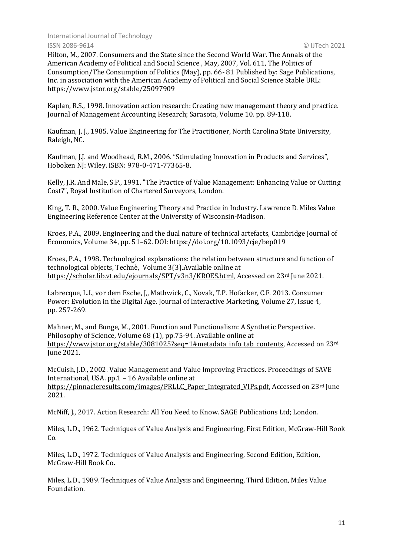Hilton, M., 2007. Consumers and the State since the Second World War. The Annals of the American Academy of Political and Social Science , May, 2007, Vol. 611, The Politics of Consumption/The Consumption of Politics (May), pp. 66- 81 Published by: Sage Publications, Inc. in association with the American Academy of Political and Social Science Stable URL: <https://www.jstor.org/stable/25097909>

Kaplan, R.S., 1998. Innovation action research: Creating new management theory and practice. Journal of Management Accounting Research; Sarasota, Volume 10. pp. 89-118.

Kaufman, J. J., 1985. Value Engineering for The Practitioner, North Carolina State University, Raleigh, NC.

Kaufman, J.J. and Woodhead, R.M., 2006. "Stimulating Innovation in Products and Services", Hoboken NJ: Wiley. ISBN: 978-0-471-77365-8.

Kelly, J.R. And Male, S.P., 1991. "The Practice of Value Management: Enhancing Value or Cutting Cost?", Royal Institution of Chartered Surveyors, London.

King, T. R., 2000. Value Engineering Theory and Practice in Industry. Lawrence D. Miles Value Engineering Reference Center at the University of Wisconsin-Madison.

Kroes, P.A., 2009. Engineering and the dual nature of technical artefacts, Cambridge Journal of Economics, Volume 34, pp. 51–62. DOI: <https://doi.org/10.1093/cje/bep019>

Kroes, P.A., 1998. Technological explanations: the relation between structure and function of technological objects, Technè, Volume 3(3).Available online at [https://scholar.lib.vt.edu/ejournals/SPT/v3n3/KROES.html,](https://scholar.lib.vt.edu/ejournals/SPT/v3n3/KROES.html) Accessed on 23rd June 2021.

Labrecque, L.I., vor dem Esche, J,, Mathwick, C., Novak, T.P. Hofacker, C.F. 2013. Consumer Power: Evolution in the Digital Age. Journal of Interactive Marketing, Volume 27, Issue 4, pp. 257-269.

Mahner, M., and Bunge, M., 2001. Function and Functionalism: A Synthetic Perspective. Philosophy of Science, Volume 68 (1), pp.75-94. Available online at [https://www.jstor.org/stable/3081025?seq=1#metadata\\_info\\_tab\\_contents,](https://www.jstor.org/stable/3081025?seq=1#metadata_info_tab_contents) Accessed on 23<sup>rd</sup> June 2021.

McCuish, J.D., 2002. Value Management and Value Improving Practices. Proceedings of SAVE International, USA. pp.1 – 16 Available online at [https://pinnacleresults.com/images/PRLLC\\_Paper\\_Integrated\\_VIPs.pdf,](https://pinnacleresults.com/images/PRLLC_Paper_Integrated_VIPs.pdf) Accessed on 23<sup>rd</sup> June 2021.

McNiff, J., 2017. Action Research: All You Need to Know. SAGE Publications Ltd; London.

Miles, L.D., 1962. Techniques of Value Analysis and Engineering, First Edition, McGraw-Hill Book Co.

Miles, L.D., 1972. Techniques of Value Analysis and Engineering, Second Edition, Edition, McGraw-Hill Book Co.

Miles, L.D., 1989. Techniques of Value Analysis and Engineering, Third Edition, Miles Value Foundation.